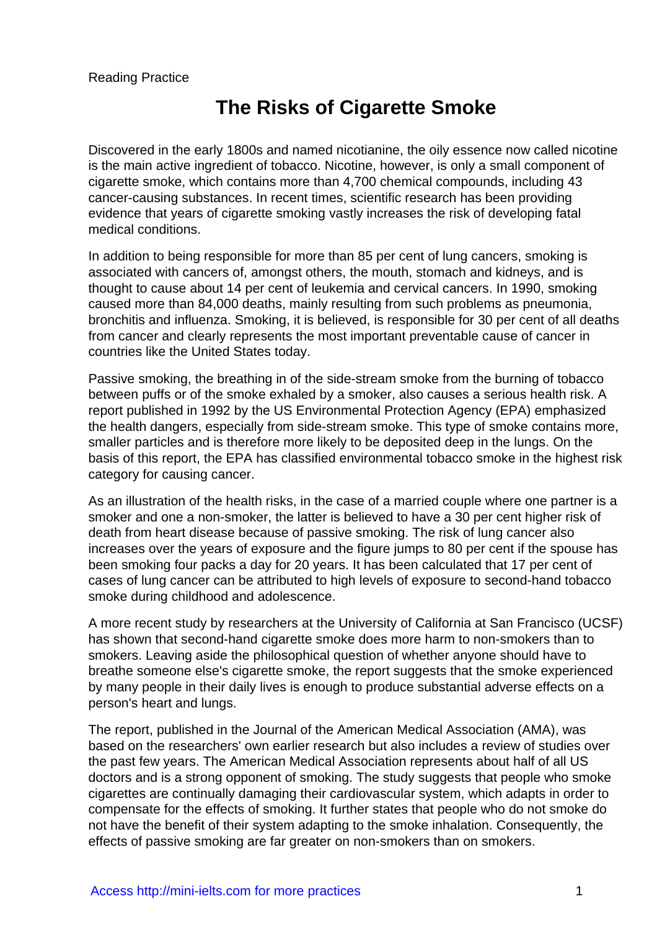# **The Risks of Cigarette Smoke**

Discovered in the early 1800s and named nicotianine, the oily essence now called nicotine is the main active ingredient of tobacco. Nicotine, however, is only a small component of cigarette smoke, which contains more than 4,700 chemical compounds, including 43 cancer-causing substances. In recent times, scientific research has been providing evidence that years of cigarette smoking vastly increases the risk of developing fatal medical conditions.

In addition to being responsible for more than 85 per cent of lung cancers, smoking is associated with cancers of, amongst others, the mouth, stomach and kidneys, and is thought to cause about 14 per cent of leukemia and cervical cancers. In 1990, smoking caused more than 84,000 deaths, mainly resulting from such problems as pneumonia, bronchitis and influenza. Smoking, it is believed, is responsible for 30 per cent of all deaths from cancer and clearly represents the most important preventable cause of cancer in countries like the United States today.

Passive smoking, the breathing in of the side-stream smoke from the burning of tobacco between puffs or of the smoke exhaled by a smoker, also causes a serious health risk. A report published in 1992 by the US Environmental Protection Agency (EPA) emphasized the health dangers, especially from side-stream smoke. This type of smoke contains more, smaller particles and is therefore more likely to be deposited deep in the lungs. On the basis of this report, the EPA has classified environmental tobacco smoke in the highest risk category for causing cancer.

As an illustration of the health risks, in the case of a married couple where one partner is a smoker and one a non-smoker, the latter is believed to have a 30 per cent higher risk of death from heart disease because of passive smoking. The risk of lung cancer also increases over the years of exposure and the figure jumps to 80 per cent if the spouse has been smoking four packs a day for 20 years. It has been calculated that 17 per cent of cases of lung cancer can be attributed to high levels of exposure to second-hand tobacco smoke during childhood and adolescence.

A more recent study by researchers at the University of California at San Francisco (UCSF) has shown that second-hand cigarette smoke does more harm to non-smokers than to smokers. Leaving aside the philosophical question of whether anyone should have to breathe someone else's cigarette smoke, the report suggests that the smoke experienced by many people in their daily lives is enough to produce substantial adverse effects on a person's heart and lungs.

The report, published in the Journal of the American Medical Association (AMA), was based on the researchers' own earlier research but also includes a review of studies over the past few years. The American Medical Association represents about half of all US doctors and is a strong opponent of smoking. The study suggests that people who smoke cigarettes are continually damaging their cardiovascular system, which adapts in order to compensate for the effects of smoking. It further states that people who do not smoke do not have the benefit of their system adapting to the smoke inhalation. Consequently, the effects of passive smoking are far greater on non-smokers than on smokers.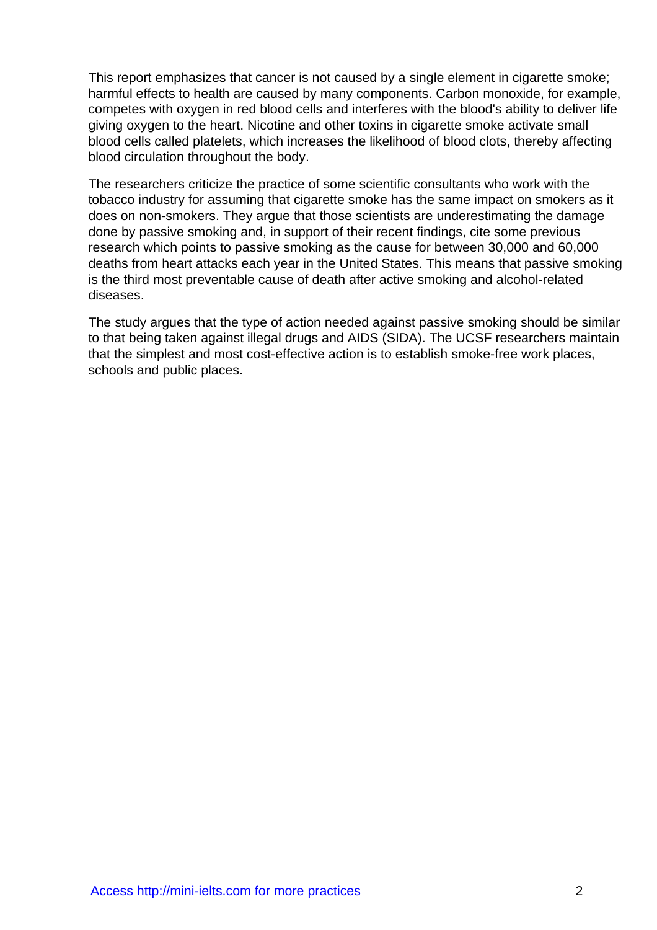This report emphasizes that cancer is not caused by a single element in cigarette smoke; harmful effects to health are caused by many components. Carbon monoxide, for example, competes with oxygen in red blood cells and interferes with the blood's ability to deliver life giving oxygen to the heart. Nicotine and other toxins in cigarette smoke activate small blood cells called platelets, which increases the likelihood of blood clots, thereby affecting blood circulation throughout the body.

The researchers criticize the practice of some scientific consultants who work with the tobacco industry for assuming that cigarette smoke has the same impact on smokers as it does on non-smokers. They argue that those scientists are underestimating the damage done by passive smoking and, in support of their recent findings, cite some previous research which points to passive smoking as the cause for between 30,000 and 60,000 deaths from heart attacks each year in the United States. This means that passive smoking is the third most preventable cause of death after active smoking and alcohol-related diseases.

The study argues that the type of action needed against passive smoking should be similar to that being taken against illegal drugs and AIDS (SIDA). The UCSF researchers maintain that the simplest and most cost-effective action is to establish smoke-free work places, schools and public places.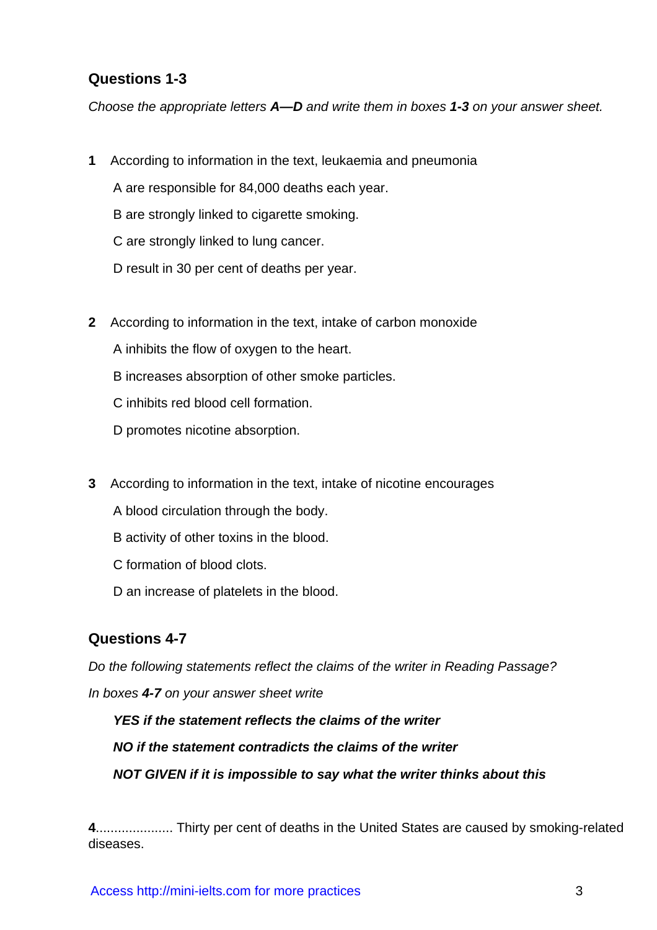### **Questions 1-3**

Choose the appropriate letters **A—D** and write them in boxes **1-3** on your answer sheet.

**1** According to information in the text, leukaemia and pneumonia

A are responsible for 84,000 deaths each year.

B are strongly linked to cigarette smoking.

C are strongly linked to lung cancer.

D result in 30 per cent of deaths per year.

**2** According to information in the text, intake of carbon monoxide

A inhibits the flow of oxygen to the heart.

B increases absorption of other smoke particles.

C inhibits red blood cell formation.

D promotes nicotine absorption.

- **3** According to information in the text, intake of nicotine encourages
	- A blood circulation through the body.
	- B activity of other toxins in the blood.
	- C formation of blood clots.
	- D an increase of platelets in the blood.

#### **Questions 4-7**

Do the following statements reflect the claims of the writer in Reading Passage? In boxes **4-7** on your answer sheet write

**YES if the statement reflects the claims of the writer NO if the statement contradicts the claims of the writer NOT GIVEN if it is impossible to say what the writer thinks about this**

**4**..................... Thirty per cent of deaths in the United States are caused by smoking-related diseases.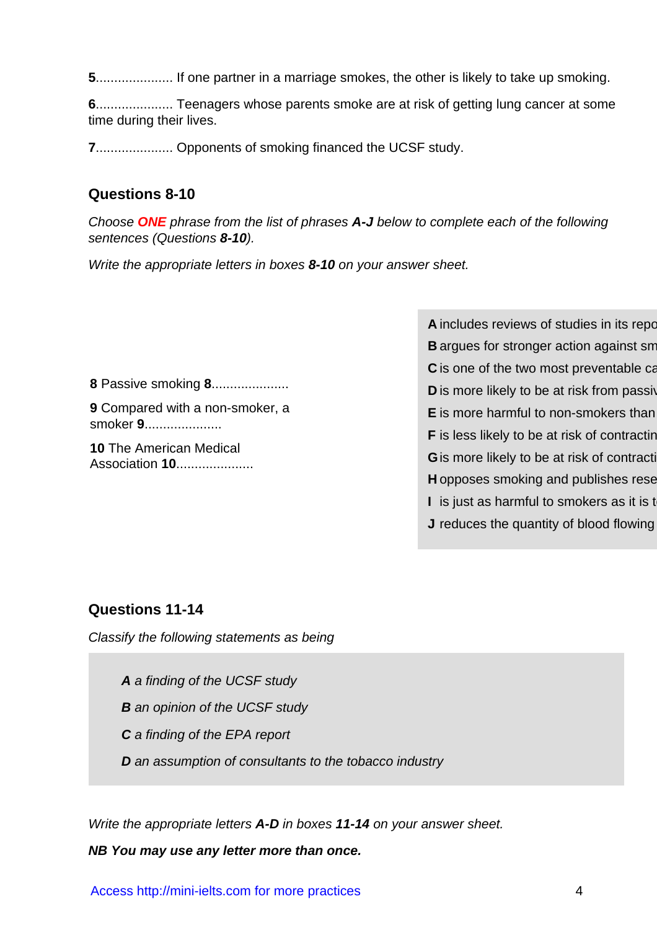**5**..................... If one partner in a marriage smokes, the other is likely to take up smoking.

**6**..................... Teenagers whose parents smoke are at risk of getting lung cancer at some time during their lives.

**7**..................... Opponents of smoking financed the UCSF study.

#### **Questions 8-10**

Choose **ONE** phrase from the list of phrases **A-J** below to complete each of the following sentences (Questions **8-10**).

Write the appropriate letters in boxes **8-10** on your answer sheet.

**8** Passive smoking **8**.....................

**9** Compared with a non-smoker, a smoker **9**.....................

**10** The American Medical Association **10...................**  **A** includes reviews of studies in its report **B** argues for stronger action against smoking **C** is one of the two most preventable ca **D** is more likely to be at risk from passive **E** is more harmful to non-smokers than **F** is less likely to be at risk of contracting **G** is more likely to be at risk of contraction **H** opposes smoking and publishes rese **I** is just as harmful to smokers as it is to **J** reduces the quantity of blood flowing

### **Questions 11-14**

Classify the following statements as being

- **A** a finding of the UCSF study
- **B** an opinion of the UCSF study
- **C** a finding of the EPA report
- **D** an assumption of consultants to the tobacco industry

Write the appropriate letters **A-D** in boxes **11-14** on your answer sheet.

#### **NB You may use any letter more than once.**

Access http://mini-ielts.com for more practices 4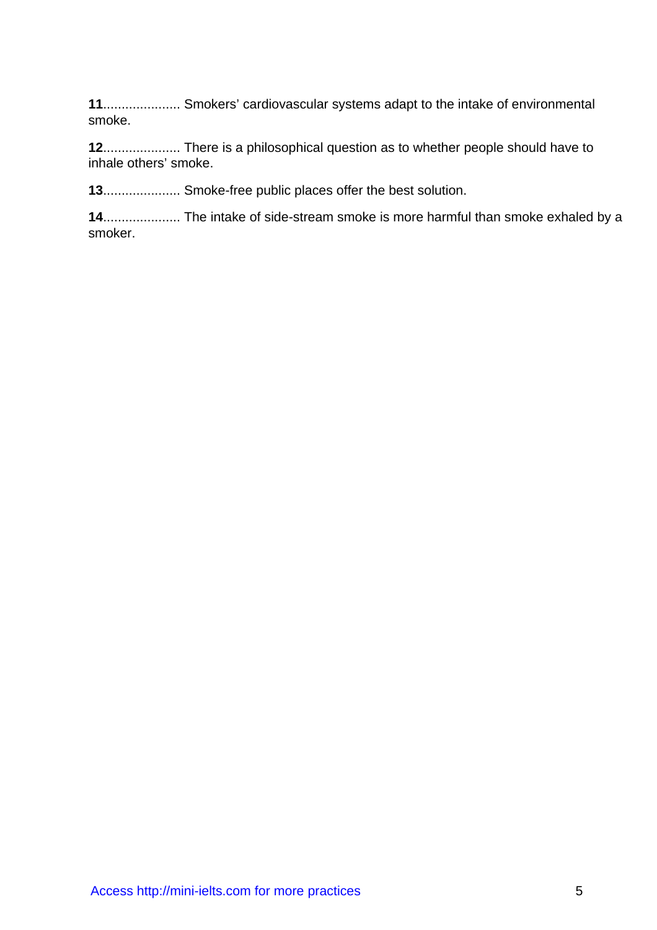**11**..................... Smokers' cardiovascular systems adapt to the intake of environmental smoke.

**12**..................... There is a philosophical question as to whether people should have to inhale others' smoke.

**13**..................... Smoke-free public places offer the best solution.

**14**..................... The intake of side-stream smoke is more harmful than smoke exhaled by a smoker.